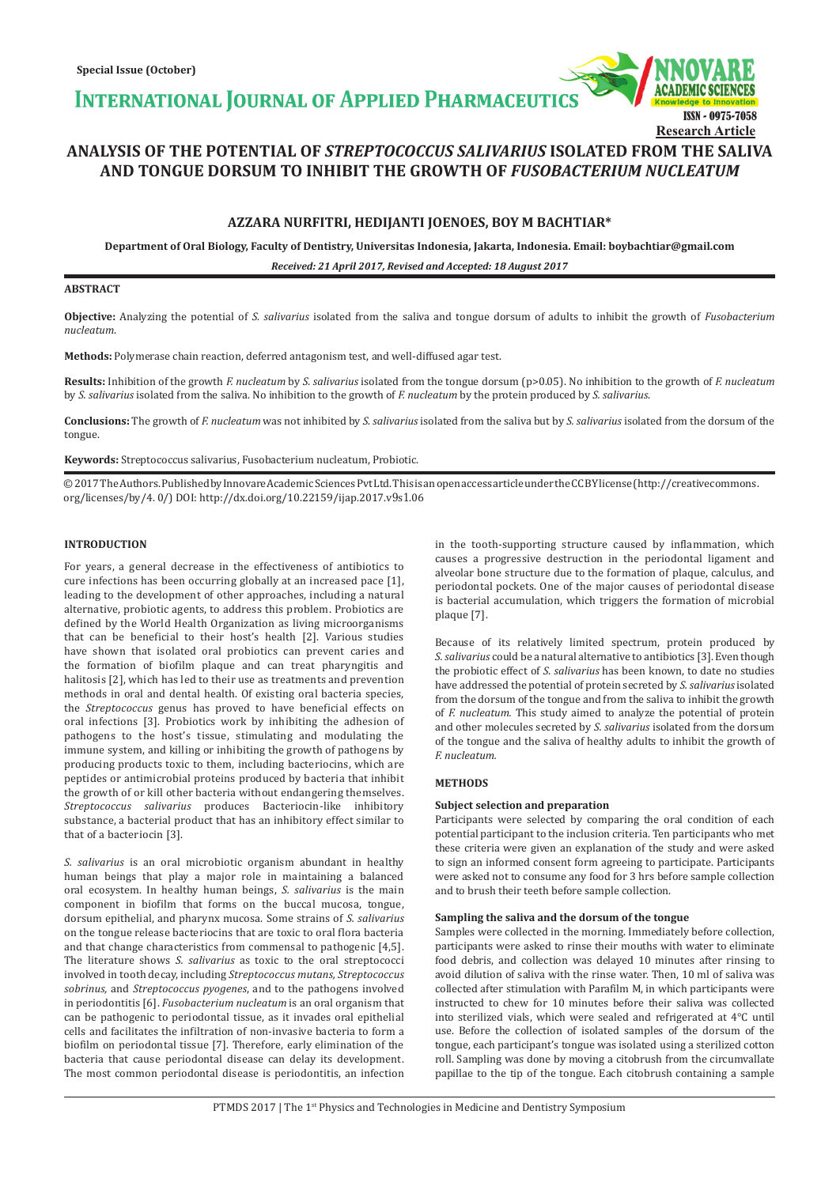**INTERNATIONAL JOURNAL OF APPLIED PHARMACEUTICS** 

# **ANALYSIS OF THE POTENTIAL OF** *STREPTOCOCCUS SALIVARIUS* **ISOLATED FROM THE SALIVA AND TONGUE DORSUM TO INHIBIT THE GROWTH OF** *FUSOBACTERIUM NUCLEATUM*

# **AZZARA NURFITRI, HEDIJANTI JOENOES, BOY M BACHTIAR\***

**Department of Oral Biology, Faculty of Dentistry, Universitas Indonesia, Jakarta, Indonesia. Email: boybachtiar@gmail.com**

*Received: 21 April 2017, Revised and Accepted: 18 August 2017*

# **ABSTRACT**

**Objective:** Analyzing the potential of *S. salivarius* isolated from the saliva and tongue dorsum of adults to inhibit the growth of *Fusobacterium nucleatum*.

**Methods:** Polymerase chain reaction, deferred antagonism test, and well-diffused agar test.

**Results:** Inhibition of the growth *F. nucleatum* by *S. salivarius* isolated from the tongue dorsum (p>0.05). No inhibition to the growth of *F. nucleatum*  by *S. salivarius* isolated from the saliva. No inhibition to the growth of *F. nucleatum* by the protein produced by *S. salivarius*.

**Conclusions:** The growth of *F. nucleatum* was not inhibited by *S. salivarius* isolated from the saliva but by *S. salivarius* isolated from the dorsum of the tongue.

**Keywords:** Streptococcus salivarius, Fusobacterium nucleatum, Probiotic.

© 2017 The Authors. Published by Innovare Academic Sciences Pvt Ltd. This is an open access article under the CC BY license (http://creativecommons. org/licenses/by/4. 0/) DOI: http://dx.doi.org/10.22159/ijap.2017.v9s1.06

### **INTRODUCTION**

For years, a general decrease in the effectiveness of antibiotics to cure infections has been occurring globally at an increased pace [1], leading to the development of other approaches, including a natural alternative, probiotic agents, to address this problem. Probiotics are defined by the World Health Organization as living microorganisms that can be beneficial to their host's health [2]. Various studies have shown that isolated oral probiotics can prevent caries and the formation of biofilm plaque and can treat pharyngitis and halitosis [2], which has led to their use as treatments and prevention methods in oral and dental health. Of existing oral bacteria species, the *Streptococcus* genus has proved to have beneficial effects on oral infections [3]. Probiotics work by inhibiting the adhesion of pathogens to the host's tissue, stimulating and modulating the immune system, and killing or inhibiting the growth of pathogens by producing products toxic to them, including bacteriocins, which are peptides or antimicrobial proteins produced by bacteria that inhibit the growth of or kill other bacteria without endangering themselves. *Streptococcus salivarius* produces Bacteriocin-like inhibitory substance, a bacterial product that has an inhibitory effect similar to that of a bacteriocin [3].

*S. salivarius* is an oral microbiotic organism abundant in healthy human beings that play a major role in maintaining a balanced oral ecosystem. In healthy human beings, *S. salivarius* is the main component in biofilm that forms on the buccal mucosa, tongue, dorsum epithelial, and pharynx mucosa. Some strains of *S. salivarius* on the tongue release bacteriocins that are toxic to oral flora bacteria and that change characteristics from commensal to pathogenic [4,5]. The literature shows *S. salivarius* as toxic to the oral streptococci involved in tooth decay, including *Streptococcus mutans, Streptococcus sobrinus,* and *Streptococcus pyogenes*, and to the pathogens involved in periodontitis [6]. *Fusobacterium nucleatum* is an oral organism that can be pathogenic to periodontal tissue, as it invades oral epithelial cells and facilitates the infiltration of non-invasive bacteria to form a biofilm on periodontal tissue [7]. Therefore, early elimination of the bacteria that cause periodontal disease can delay its development. The most common periodontal disease is periodontitis, an infection in the tooth-supporting structure caused by inflammation, which causes a progressive destruction in the periodontal ligament and alveolar bone structure due to the formation of plaque, calculus, and periodontal pockets. One of the major causes of periodontal disease is bacterial accumulation, which triggers the formation of microbial plaque [7].

ISSN - 0975-7058

**Research Article**

Because of its relatively limited spectrum, protein produced by *S.salivarius* could be a natural alternative to antibiotics [3]. Even though the probiotic effect of *S. salivarius* has been known, to date no studies have addressed the potential of protein secreted by *S. salivarius* isolated from the dorsum of the tongue and from the saliva to inhibit the growth of *F. nucleatum.* This study aimed to analyze the potential of protein and other molecules secreted by *S. salivarius* isolated from the dorsum of the tongue and the saliva of healthy adults to inhibit the growth of *F. nucleatum.*

# **METHODS**

### **Subject selection and preparation**

Participants were selected by comparing the oral condition of each potential participant to the inclusion criteria. Ten participants who met these criteria were given an explanation of the study and were asked to sign an informed consent form agreeing to participate. Participants were asked not to consume any food for 3 hrs before sample collection and to brush their teeth before sample collection.

#### **Sampling the saliva and the dorsum of the tongue**

Samples were collected in the morning. Immediately before collection, participants were asked to rinse their mouths with water to eliminate food debris, and collection was delayed 10 minutes after rinsing to avoid dilution of saliva with the rinse water. Then, 10 ml of saliva was collected after stimulation with Parafilm M, in which participants were instructed to chew for 10 minutes before their saliva was collected into sterilized vials, which were sealed and refrigerated at 4°C until use. Before the collection of isolated samples of the dorsum of the tongue, each participant's tongue was isolated using a sterilized cotton roll. Sampling was done by moving a citobrush from the circumvallate papillae to the tip of the tongue. Each citobrush containing a sample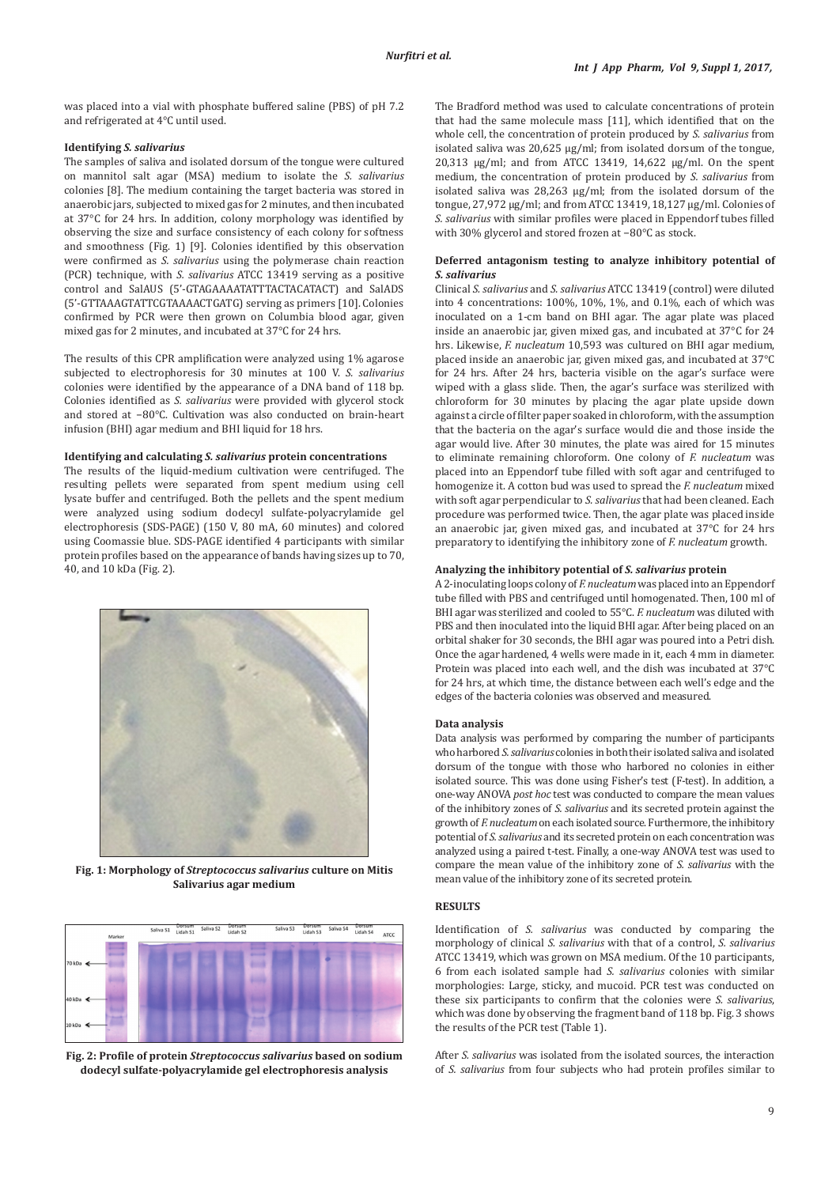was placed into a vial with phosphate buffered saline (PBS) of pH 7.2 and refrigerated at 4°C until used.

# **Identifying** *S. salivarius*

The samples of saliva and isolated dorsum of the tongue were cultured on mannitol salt agar (MSA) medium to isolate the *S. salivarius* colonies [8]. The medium containing the target bacteria was stored in anaerobic jars, subjected to mixed gas for 2 minutes, and then incubated at 37°C for 24 hrs. In addition, colony morphology was identified by observing the size and surface consistency of each colony for softness and smoothness (Fig. 1) [9]. Colonies identified by this observation were confirmed as *S. salivarius* using the polymerase chain reaction (PCR) technique, with *S. salivarius* ATCC 13419 serving as a positive control and SalAUS (5'-GTAGAAAATATTTACTACATACT) and SalADS (5'-GTTAAAGTATTCGTAAAACTGATG) serving as primers [10]. Colonies confirmed by PCR were then grown on Columbia blood agar, given mixed gas for 2 minutes, and incubated at 37°C for 24 hrs.

The results of this CPR amplification were analyzed using 1% agarose subjected to electrophoresis for 30 minutes at 100 V. *S. salivarius* colonies were identified by the appearance of a DNA band of 118 bp*.*  Colonies identified as *S. salivarius* were provided with glycerol stock and stored at −80°C. Cultivation was also conducted on brain-heart infusion (BHI) agar medium and BHI liquid for 18 hrs.

#### **Identifying and calculating** *S. salivarius* **protein concentrations**

The results of the liquid-medium cultivation were centrifuged. The resulting pellets were separated from spent medium using cell lysate buffer and centrifuged. Both the pellets and the spent medium were analyzed using sodium dodecyl sulfate-polyacrylamide gel electrophoresis (SDS-PAGE) (150 V, 80 mA, 60 minutes) and colored using Coomassie blue. SDS-PAGE identified 4 participants with similar protein profiles based on the appearance of bands having sizes up to 70, 40, and 10 kDa (Fig. 2).



**Fig. 1: Morphology of** *Streptococcus salivarius* **culture on Mitis Salivarius agar medium**



**Fig. 2: Profile of protein** *Streptococcus salivarius* **based on sodium dodecyl sulfate-polyacrylamide gel electrophoresis analysis**

The Bradford method was used to calculate concentrations of protein that had the same molecule mass [11], which identified that on the whole cell, the concentration of protein produced by *S. salivarius* from isolated saliva was 20,625 µg/ml; from isolated dorsum of the tongue, 20,313 µg/ml; and from ATCC 13419, 14,622 µg/ml. On the spent medium, the concentration of protein produced by *S. salivarius* from isolated saliva was 28,263 µg/ml; from the isolated dorsum of the tongue, 27,972 µg/ml; and from ATCC 13419, 18,127 µg/ml. Colonies of *S. salivarius* with similar profiles were placed in Eppendorf tubes filled with 30% glycerol and stored frozen at −80°C as stock.

# **Deferred antagonism testing to analyze inhibitory potential of**  *S. salivarius*

Clinical *S. salivarius* and *S. salivarius* ATCC 13419 (control) were diluted into 4 concentrations: 100%, 10%, 1%, and 0.1%, each of which was inoculated on a 1-cm band on BHI agar. The agar plate was placed inside an anaerobic jar, given mixed gas, and incubated at 37°C for 24 hrs. Likewise, *F. nucleatum* 10,593 was cultured on BHI agar medium, placed inside an anaerobic jar, given mixed gas, and incubated at 37°C for 24 hrs. After 24 hrs, bacteria visible on the agar's surface were wiped with a glass slide. Then, the agar's surface was sterilized with chloroform for 30 minutes by placing the agar plate upside down against a circle of filter paper soaked in chloroform, with the assumption that the bacteria on the agar's surface would die and those inside the agar would live. After 30 minutes, the plate was aired for 15 minutes to eliminate remaining chloroform. One colony of *F. nucleatum* was placed into an Eppendorf tube filled with soft agar and centrifuged to homogenize it. A cotton bud was used to spread the *F. nucleatum* mixed with soft agar perpendicular to *S. salivarius* that had been cleaned. Each procedure was performed twice. Then, the agar plate was placed inside an anaerobic jar, given mixed gas, and incubated at 37°C for 24 hrs preparatory to identifying the inhibitory zone of *F. nucleatum* growth.

### **Analyzing the inhibitory potential of** *S. salivarius* **protein**

A 2-inoculating loops colony of *F. nucleatum* was placed into an Eppendorf tube filled with PBS and centrifuged until homogenated. Then, 100 ml of BHI agar was sterilized and cooled to 55°C. *F. nucleatum* was diluted with PBS and then inoculated into the liquid BHI agar. After being placed on an orbital shaker for 30 seconds, the BHI agar was poured into a Petri dish. Once the agar hardened, 4 wells were made in it, each 4 mm in diameter. Protein was placed into each well, and the dish was incubated at 37°C for 24 hrs, at which time, the distance between each well's edge and the edges of the bacteria colonies was observed and measured.

#### **Data analysis**

Data analysis was performed by comparing the number of participants who harbored *S. salivarius* colonies in both their isolated saliva and isolated dorsum of the tongue with those who harbored no colonies in either isolated source. This was done using Fisher's test (F-test). In addition, a one-way ANOVA *post hoc* test was conducted to compare the mean values of the inhibitory zones of *S. salivarius* and its secreted protein against the growth of *F. nucleatum* on each isolated source. Furthermore, the inhibitory potential of *S. salivarius* and its secreted protein on each concentration was analyzed using a paired t-test. Finally, a one-way ANOVA test was used to compare the mean value of the inhibitory zone of *S. salivarius* with the mean value of the inhibitory zone of its secreted protein.

#### **RESULTS**

Identification of *S. salivarius* was conducted by comparing the morphology of clinical *S. salivarius* with that of a control, *S. salivarius* ATCC 13419, which was grown on MSA medium. Of the 10 participants, 6 from each isolated sample had *S. salivarius* colonies with similar morphologies: Large, sticky, and mucoid. PCR test was conducted on these six participants to confirm that the colonies were *S. salivarius*, which was done by observing the fragment band of 118 bp. Fig. 3 shows the results of the PCR test (Table 1).

After *S. salivarius* was isolated from the isolated sources, the interaction of *S. salivarius* from four subjects who had protein profiles similar to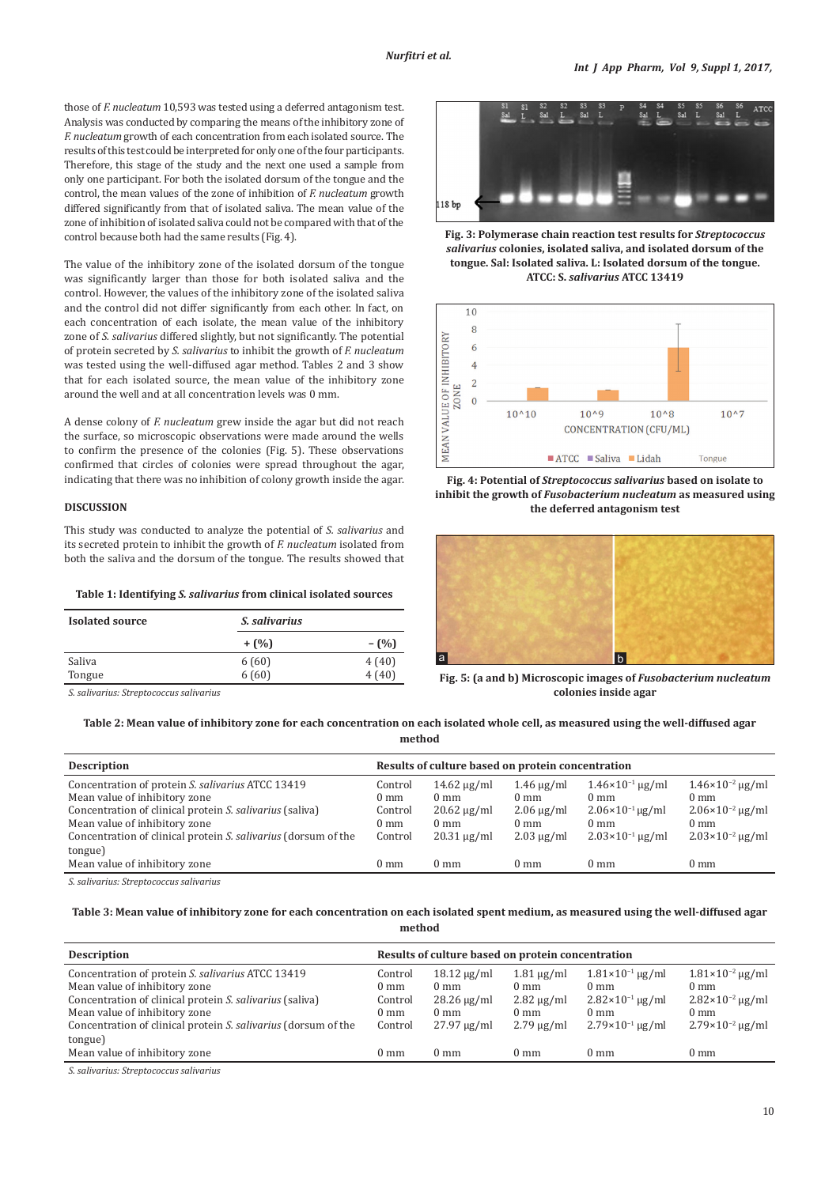those of *F. nucleatum* 10,593 was tested using a deferred antagonism test. Analysis was conducted by comparing the means of the inhibitory zone of *F. nucleatum* growth of each concentration from each isolated source. The results of this test could be interpreted for only one of the four participants. Therefore, this stage of the study and the next one used a sample from only one participant. For both the isolated dorsum of the tongue and the control, the mean values of the zone of inhibition of *F. nucleatum* growth differed significantly from that of isolated saliva. The mean value of the zone of inhibition of isolated saliva could not be compared with that of the control because both had the same results (Fig. 4).

The value of the inhibitory zone of the isolated dorsum of the tongue was significantly larger than those for both isolated saliva and the control. However, the values of the inhibitory zone of the isolated saliva and the control did not differ significantly from each other. In fact, on each concentration of each isolate, the mean value of the inhibitory zone of *S. salivarius* differed slightly, but not significantly. The potential of protein secreted by *S. salivarius* to inhibit the growth of *F. nucleatum* was tested using the well-diffused agar method. Tables 2 and 3 show that for each isolated source, the mean value of the inhibitory zone around the well and at all concentration levels was 0 mm.

A dense colony of *F. nucleatum* grew inside the agar but did not reach the surface, so microscopic observations were made around the wells to confirm the presence of the colonies (Fig. 5). These observations confirmed that circles of colonies were spread throughout the agar, indicating that there was no inhibition of colony growth inside the agar.

#### **DISCUSSION**

This study was conducted to analyze the potential of *S. salivarius* and its secreted protein to inhibit the growth of *F. nucleatum* isolated from both the saliva and the dorsum of the tongue. The results showed that

**Table 1: Identifying** *S. salivarius* **from clinical isolated sources**

| <b>Isolated source</b> | <i>S. salivarius</i> |                |  |  |
|------------------------|----------------------|----------------|--|--|
|                        | $+$ (%)              | $-(\%)$        |  |  |
| Saliva<br>Tongue       | 6(60)<br>6(60)       | 4(40)<br>4(40) |  |  |

*S. salivarius: Streptococcus salivarius*



**Fig. 3: Polymerase chain reaction test results for** *Streptococcus salivarius* **colonies, isolated saliva, and isolated dorsum of the tongue. Sal: Isolated saliva. L: Isolated dorsum of the tongue. ATCC: S.** *salivarius* **ATCC 13419**







**Fig. 5: (a and b) Microscopic images of** *Fusobacterium nucleatum*  **colonies inside agar**

**Table 2: Mean value of inhibitory zone for each concentration on each isolated whole cell, as measured using the well-diffused agar method**

| <b>Description</b>                                                                                                                                                                                                                                           | Results of culture based on protein concentration                 |                                                                                              |                                                                                           |                                                                                                                               |                                                                                                                               |  |
|--------------------------------------------------------------------------------------------------------------------------------------------------------------------------------------------------------------------------------------------------------------|-------------------------------------------------------------------|----------------------------------------------------------------------------------------------|-------------------------------------------------------------------------------------------|-------------------------------------------------------------------------------------------------------------------------------|-------------------------------------------------------------------------------------------------------------------------------|--|
| Concentration of protein S. salivarius ATCC 13419<br>Mean value of inhibitory zone<br>Concentration of clinical protein S. salivarius (saliva)<br>Mean value of inhibitory zone<br>Concentration of clinical protein S. salivarius (dorsum of the<br>tongue) | Control<br>$0 \text{ mm}$<br>Control<br>$0 \text{ mm}$<br>Control | $14.62 \mu g/ml$<br>$0 \text{ mm}$<br>$20.62 \mu g/ml$<br>$0 \text{ mm}$<br>$20.31 \mu g/ml$ | $1.46 \mu g/ml$<br>$0 \text{ mm}$<br>$2.06 \mu g/ml$<br>$0 \text{ mm}$<br>$2.03 \mu g/ml$ | $1.46 \times 10^{-1}$ ug/ml<br>$0 \text{ mm}$<br>$2.06 \times 10^{-1}$ ug/ml<br>$0 \text{ mm}$<br>$2.03 \times 10^{-1}$ ug/ml | $1.46 \times 10^{-2}$ ug/ml<br>$0 \text{ mm}$<br>$2.06 \times 10^{-2}$ ug/ml<br>$0 \text{ mm}$<br>$2.03 \times 10^{-2}$ µg/ml |  |
| Mean value of inhibitory zone                                                                                                                                                                                                                                | $0 \text{ mm}$                                                    | $0 \text{ mm}$                                                                               | $0 \text{ mm}$                                                                            | $0 \text{ mm}$                                                                                                                | 0 mm                                                                                                                          |  |
| $C = -1$ : $\ldots$ . $C$ is a set of $C$ is a set of $\ldots$ .                                                                                                                                                                                             |                                                                   |                                                                                              |                                                                                           |                                                                                                                               |                                                                                                                               |  |

*S. salivarius: Streptococcus salivarius*

**Table 3: Mean value of inhibitory zone for each concentration on each isolated spent medium, as measured using the well-diffused agar method**

| <b>Description</b>                                                                                                                                                                                                                                                                            | Results of culture based on protein concentration                                   |                                                                                                                |                                                                                                             |                                                                                                                                               |                                                                                                                                                 |
|-----------------------------------------------------------------------------------------------------------------------------------------------------------------------------------------------------------------------------------------------------------------------------------------------|-------------------------------------------------------------------------------------|----------------------------------------------------------------------------------------------------------------|-------------------------------------------------------------------------------------------------------------|-----------------------------------------------------------------------------------------------------------------------------------------------|-------------------------------------------------------------------------------------------------------------------------------------------------|
| Concentration of protein S. salivarius ATCC 13419<br>Mean value of inhibitory zone<br>Concentration of clinical protein S. salivarius (saliva)<br>Mean value of inhibitory zone<br>Concentration of clinical protein S. salivarius (dorsum of the<br>tongue)<br>Mean value of inhibitory zone | Control<br>$0 \text{ mm}$<br>Control<br>$0 \text{ mm}$<br>Control<br>$0 \text{ mm}$ | $18.12 \mu g/ml$<br>$0 \text{ mm}$<br>$28.26 \mu g/ml$<br>$0 \text{ mm}$<br>$27.97 \mu g/ml$<br>$0 \text{ mm}$ | $1.81 \mu g/ml$<br>$0 \text{ mm}$<br>$2.82 \mu g/ml$<br>$0 \text{ mm}$<br>$2.79 \mu g/ml$<br>$0 \text{ mm}$ | $1.81 \times 10^{-1}$ µg/ml<br>$0 \text{ mm}$<br>$2.82 \times 10^{-1}$ ug/ml<br>$0 \text{ mm}$<br>$2.79\times10^{-1}$ µg/ml<br>$0 \text{ mm}$ | $1.81 \times 10^{-2}$ µg/ml<br>$0 \text{ mm}$<br>$2.82 \times 10^{-2}$ ug/ml<br>$0 \text{ mm}$<br>$2.79 \times 10^{-2}$ ug/ml<br>$0 \text{ mm}$ |
| $\alpha$ is a set of $\alpha$                                                                                                                                                                                                                                                                 |                                                                                     |                                                                                                                |                                                                                                             |                                                                                                                                               |                                                                                                                                                 |

*S. salivarius: Streptococcus salivarius*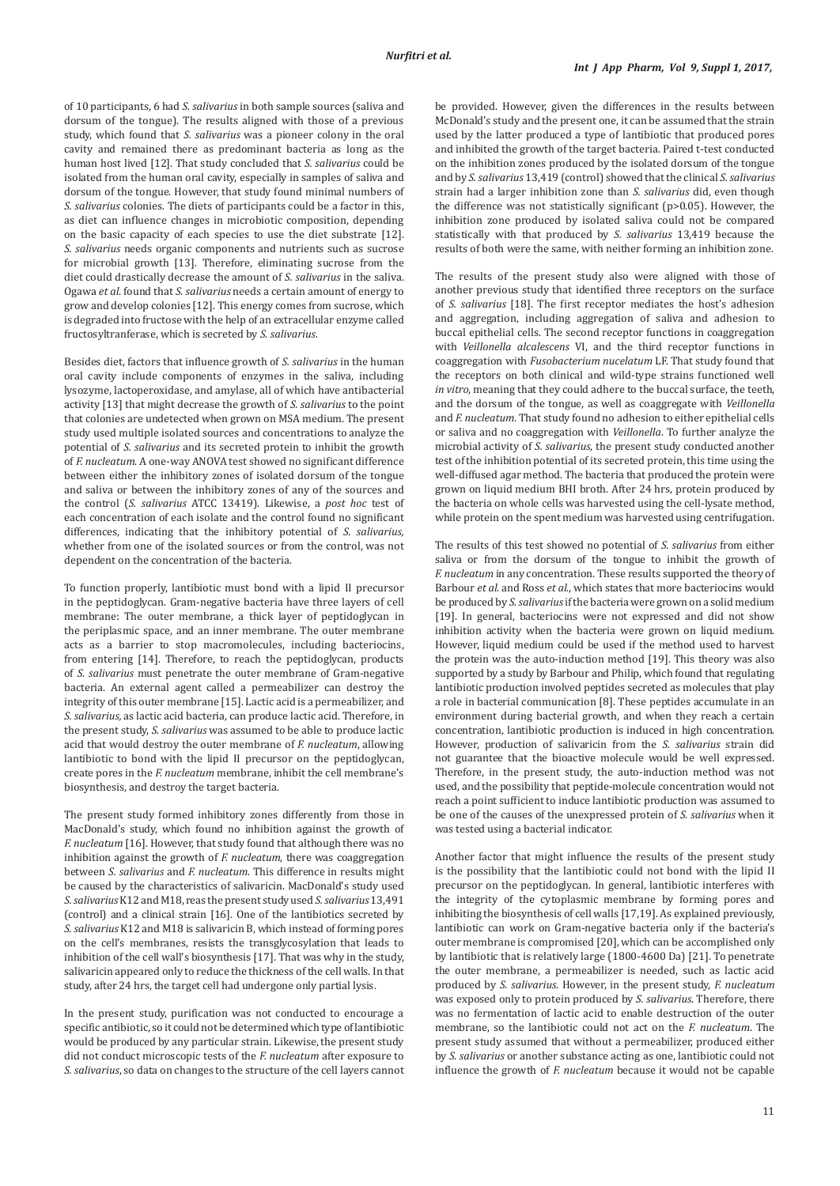of 10 participants, 6 had *S. salivarius* in both sample sources (saliva and dorsum of the tongue). The results aligned with those of a previous study, which found that *S. salivarius* was a pioneer colony in the oral cavity and remained there as predominant bacteria as long as the human host lived [12]. That study concluded that *S. salivarius* could be isolated from the human oral cavity, especially in samples of saliva and dorsum of the tongue. However, that study found minimal numbers of *S. salivarius* colonies. The diets of participants could be a factor in this, as diet can influence changes in microbiotic composition, depending on the basic capacity of each species to use the diet substrate [12]. *S. salivarius* needs organic components and nutrients such as sucrose for microbial growth [13]. Therefore, eliminating sucrose from the diet could drastically decrease the amount of *S. salivarius* in the saliva. Ogawa *et al*. found that *S. salivarius* needs a certain amount of energy to grow and develop colonies [12]. This energy comes from sucrose, which is degraded into fructose with the help of an extracellular enzyme called fructosyltranferase, which is secreted by *S. salivarius*.

Besides diet, factors that influence growth of *S. salivarius* in the human oral cavity include components of enzymes in the saliva, including lysozyme, lactoperoxidase, and amylase, all of which have antibacterial activity [13] that might decrease the growth of *S. salivarius* to the point that colonies are undetected when grown on MSA medium. The present study used multiple isolated sources and concentrations to analyze the potential of *S. salivarius* and its secreted protein to inhibit the growth of *F. nucleatum*. A one-way ANOVA test showed no significant difference between either the inhibitory zones of isolated dorsum of the tongue and saliva or between the inhibitory zones of any of the sources and the control (*S. salivarius* ATCC 13419). Likewise, a *post hoc* test of each concentration of each isolate and the control found no significant differences, indicating that the inhibitory potential of *S. salivarius,*  whether from one of the isolated sources or from the control, was not dependent on the concentration of the bacteria.

To function properly, lantibiotic must bond with a lipid II precursor in the peptidoglycan. Gram-negative bacteria have three layers of cell membrane: The outer membrane, a thick layer of peptidoglycan in the periplasmic space, and an inner membrane. The outer membrane acts as a barrier to stop macromolecules, including bacteriocins, from entering [14]. Therefore, to reach the peptidoglycan, products of *S. salivarius* must penetrate the outer membrane of Gram-negative bacteria. An external agent called a permeabilizer can destroy the integrity of this outer membrane [15]. Lactic acid is a permeabilizer, and *S. salivarius,* as lactic acid bacteria, can produce lactic acid. Therefore, in the present study, *S. salivarius* was assumed to be able to produce lactic acid that would destroy the outer membrane of *F. nucleatum*, allowing lantibiotic to bond with the lipid II precursor on the peptidoglycan, create pores in the *F. nucleatum* membrane, inhibit the cell membrane's biosynthesis, and destroy the target bacteria.

The present study formed inhibitory zones differently from those in MacDonald's study, which found no inhibition against the growth of *F. nucleatum* [16]. However, that study found that although there was no inhibition against the growth of *F. nucleatum*, there was coaggregation between *S. salivarius* and *F. nucleatum*. This difference in results might be caused by the characteristics of salivaricin. MacDonald's study used *S.salivarius* K12 and M18, reas the present study used *S. salivarius* 13,491 (control) and a clinical strain [16]. One of the lantibiotics secreted by *S.salivarius* K12 and M18 is salivaricin B, which instead of forming pores on the cell's membranes, resists the transglycosylation that leads to inhibition of the cell wall's biosynthesis [17]. That was why in the study, salivaricin appeared only to reduce the thickness of the cell walls. In that study, after 24 hrs, the target cell had undergone only partial lysis.

In the present study, purification was not conducted to encourage a specific antibiotic, so it could not be determined which type of lantibiotic would be produced by any particular strain. Likewise, the present study did not conduct microscopic tests of the *F. nucleatum* after exposure to *S. salivarius*, so data on changes to the structure of the cell layers cannot be provided. However, given the differences in the results between McDonald's study and the present one, it can be assumed that the strain used by the latter produced a type of lantibiotic that produced pores and inhibited the growth of the target bacteria. Paired t-test conducted on the inhibition zones produced by the isolated dorsum of the tongue and by *S. salivarius* 13,419 (control) showed that the clinical *S. salivarius* strain had a larger inhibition zone than *S. salivarius* did, even though the difference was not statistically significant (p>0.05). However, the inhibition zone produced by isolated saliva could not be compared statistically with that produced by *S. salivarius* 13,419 because the results of both were the same, with neither forming an inhibition zone.

The results of the present study also were aligned with those of another previous study that identified three receptors on the surface of *S. salivarius* [18]. The first receptor mediates the host's adhesion and aggregation, including aggregation of saliva and adhesion to buccal epithelial cells. The second receptor functions in coaggregation with *Veillonella alcalescens* VI, and the third receptor functions in coaggregation with *Fusobacterium nucelatum* LF. That study found that the receptors on both clinical and wild-type strains functioned well *in vitro*, meaning that they could adhere to the buccal surface, the teeth, and the dorsum of the tongue, as well as coaggregate with *Veillonella*  and *F. nucleatum*. That study found no adhesion to either epithelial cells or saliva and no coaggregation with *Veillonella*. To further analyze the microbial activity of *S. salivarius*, the present study conducted another test of the inhibition potential of its secreted protein, this time using the well-diffused agar method. The bacteria that produced the protein were grown on liquid medium BHI broth. After 24 hrs, protein produced by the bacteria on whole cells was harvested using the cell-lysate method, while protein on the spent medium was harvested using centrifugation.

The results of this test showed no potential of *S. salivarius* from either saliva or from the dorsum of the tongue to inhibit the growth of *F. nucleatum* in any concentration. These results supported the theory of Barbour *et al*. and Ross *et al*., which states that more bacteriocins would be produced by *S. salivarius* if the bacteria were grown on a solid medium [19]. In general, bacteriocins were not expressed and did not show inhibition activity when the bacteria were grown on liquid medium. However, liquid medium could be used if the method used to harvest the protein was the auto-induction method [19]. This theory was also supported by a study by Barbour and Philip, which found that regulating lantibiotic production involved peptides secreted as molecules that play a role in bacterial communication [8]. These peptides accumulate in an environment during bacterial growth, and when they reach a certain concentration, lantibiotic production is induced in high concentration. However, production of salivaricin from the *S. salivarius* strain did not guarantee that the bioactive molecule would be well expressed. Therefore, in the present study, the auto-induction method was not used, and the possibility that peptide-molecule concentration would not reach a point sufficient to induce lantibiotic production was assumed to be one of the causes of the unexpressed protein of *S. salivarius* when it was tested using a bacterial indicator.

Another factor that might influence the results of the present study is the possibility that the lantibiotic could not bond with the lipid II precursor on the peptidoglycan. In general, lantibiotic interferes with the integrity of the cytoplasmic membrane by forming pores and inhibiting the biosynthesis of cell walls [17,19]. As explained previously, lantibiotic can work on Gram-negative bacteria only if the bacteria's outer membrane is compromised [20], which can be accomplished only by lantibiotic that is relatively large (1800-4600 Da) [21]. To penetrate the outer membrane, a permeabilizer is needed, such as lactic acid produced by *S. salivarius*. However, in the present study, *F. nucleatum* was exposed only to protein produced by *S. salivarius*. Therefore, there was no fermentation of lactic acid to enable destruction of the outer membrane, so the lantibiotic could not act on the *F. nucleatum*. The present study assumed that without a permeabilizer, produced either by *S. salivarius* or another substance acting as one, lantibiotic could not influence the growth of *F. nucleatum* because it would not be capable